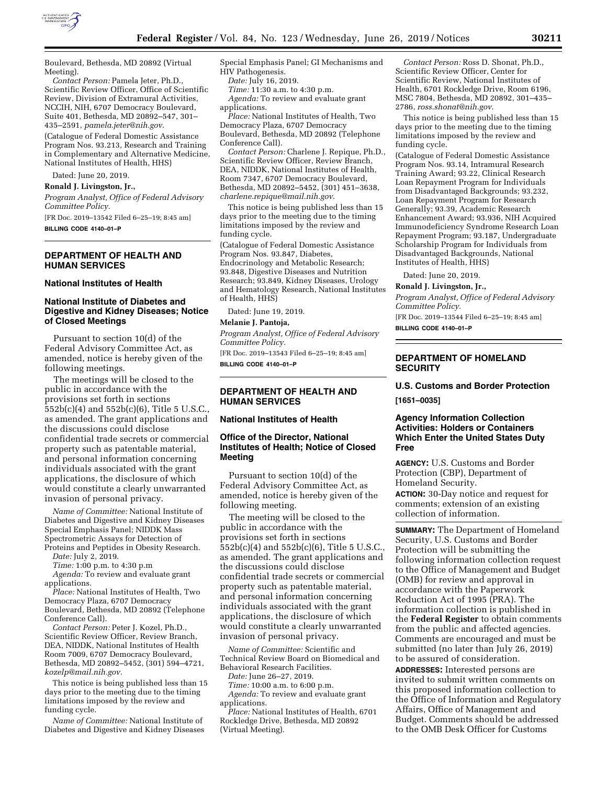

*Contact Person:* Pamela Jeter, Ph.D., Scientific Review Officer, Office of Scientific Review, Division of Extramural Activities, NCCIH, NIH, 6707 Democracy Boulevard, Suite 401, Bethesda, MD 20892–547, 301– 435–2591, *[pamela.jeter@nih.gov](mailto:pamela.jeter@nih.gov)*.

(Catalogue of Federal Domestic Assistance Program Nos. 93.213, Research and Training in Complementary and Alternative Medicine, National Institutes of Health, HHS)

Dated: June 20, 2019.

**Ronald J. Livingston, Jr.,** 

*Program Analyst, Office of Federal Advisory Committee Policy.* 

[FR Doc. 2019–13542 Filed 6–25–19; 8:45 am] **BILLING CODE 4140–01–P** 

# **DEPARTMENT OF HEALTH AND HUMAN SERVICES**

#### **National Institutes of Health**

# **National Institute of Diabetes and Digestive and Kidney Diseases; Notice of Closed Meetings**

Pursuant to section 10(d) of the Federal Advisory Committee Act, as amended, notice is hereby given of the following meetings.

The meetings will be closed to the public in accordance with the provisions set forth in sections 552b(c)(4) and 552b(c)(6), Title 5 U.S.C., as amended. The grant applications and the discussions could disclose confidential trade secrets or commercial property such as patentable material, and personal information concerning individuals associated with the grant applications, the disclosure of which would constitute a clearly unwarranted invasion of personal privacy.

*Name of Committee:* National Institute of Diabetes and Digestive and Kidney Diseases Special Emphasis Panel; NIDDK Mass Spectrometric Assays for Detection of Proteins and Peptides in Obesity Research.

*Date:* July 2, 2019. *Time:* 1:00 p.m. to 4:30 p.m

*Agenda:* To review and evaluate grant applications.

*Place:* National Institutes of Health, Two Democracy Plaza, 6707 Democracy Boulevard, Bethesda, MD 20892 (Telephone Conference Call).

*Contact Person:* Peter J. Kozel, Ph.D., Scientific Review Officer, Review Branch, DEA, NIDDK, National Institutes of Health Room 7009, 6707 Democracy Boulevard, Bethesda, MD 20892–5452, (301) 594–4721, *[kozelp@mail.nih.gov.](mailto:kozelp@mail.nih.gov)* 

This notice is being published less than 15 days prior to the meeting due to the timing limitations imposed by the review and funding cycle.

*Name of Committee:* National Institute of Diabetes and Digestive and Kidney Diseases Special Emphasis Panel; GI Mechanisms and HIV Pathogenesis.

*Date:* July 16, 2019.

*Time:* 11:30 a.m. to 4:30 p.m.

*Agenda:* To review and evaluate grant applications.

*Place:* National Institutes of Health, Two Democracy Plaza, 6707 Democracy Boulevard, Bethesda, MD 20892 (Telephone Conference Call).

*Contact Person:* Charlene J. Repique, Ph.D., Scientific Review Officer, Review Branch, DEA, NIDDK, National Institutes of Health, Room 7347, 6707 Democracy Boulevard, Bethesda, MD 20892–5452, (301) 451–3638, *[charlene.repique@mail.nih.gov](mailto:charlene.repique@mail.nih.gov)*.

This notice is being published less than 15 days prior to the meeting due to the timing limitations imposed by the review and funding cycle.

(Catalogue of Federal Domestic Assistance Program Nos. 93.847, Diabetes, Endocrinology and Metabolic Research; 93.848, Digestive Diseases and Nutrition Research; 93.849, Kidney Diseases, Urology and Hematology Research, National Institutes of Health, HHS)

Dated: June 19, 2019.

# **Melanie J. Pantoja,**

*Program Analyst, Office of Federal Advisory Committee Policy.* 

[FR Doc. 2019–13543 Filed 6–25–19; 8:45 am] **BILLING CODE 4140–01–P** 

# **DEPARTMENT OF HEALTH AND HUMAN SERVICES**

### **National Institutes of Health**

### **Office of the Director, National Institutes of Health; Notice of Closed Meeting**

Pursuant to section 10(d) of the Federal Advisory Committee Act, as amended, notice is hereby given of the following meeting.

The meeting will be closed to the public in accordance with the provisions set forth in sections 552b(c)(4) and 552b(c)(6), Title 5 U.S.C., as amended. The grant applications and the discussions could disclose confidential trade secrets or commercial property such as patentable material, and personal information concerning individuals associated with the grant applications, the disclosure of which would constitute a clearly unwarranted invasion of personal privacy.

*Name of Committee:* Scientific and Technical Review Board on Biomedical and Behavioral Research Facilities.

*Date:* June 26–27, 2019.

*Time:* 10:00 a.m. to 6:00 p.m.

*Agenda:* To review and evaluate grant applications.

*Place:* National Institutes of Health, 6701 Rockledge Drive, Bethesda, MD 20892 (Virtual Meeting).

*Contact Person:* Ross D. Shonat, Ph.D., Scientific Review Officer, Center for Scientific Review, National Institutes of Health, 6701 Rockledge Drive, Room 6196, MSC 7804, Bethesda, MD 20892, 301–435– 2786, *[ross.shonat@nih.gov](mailto:ross.shonat@nih.gov)*.

This notice is being published less than 15 days prior to the meeting due to the timing limitations imposed by the review and funding cycle.

(Catalogue of Federal Domestic Assistance Program Nos. 93.14, Intramural Research Training Award; 93.22, Clinical Research Loan Repayment Program for Individuals from Disadvantaged Backgrounds; 93.232, Loan Repayment Program for Research Generally; 93.39, Academic Research Enhancement Award; 93.936, NIH Acquired Immunodeficiency Syndrome Research Loan Repayment Program; 93.187, Undergraduate Scholarship Program for Individuals from Disadvantaged Backgrounds, National Institutes of Health, HHS)

Dated: June 20, 2019.

**Ronald J. Livingston, Jr.,** 

*Program Analyst, Office of Federal Advisory Committee Policy.* 

[FR Doc. 2019–13544 Filed 6–25–19; 8:45 am] **BILLING CODE 4140–01–P** 

### **DEPARTMENT OF HOMELAND SECURITY**

### **U.S. Customs and Border Protection**

**[1651–0035]** 

## **Agency Information Collection Activities: Holders or Containers Which Enter the United States Duty Free**

**AGENCY:** U.S. Customs and Border Protection (CBP), Department of Homeland Security.

**ACTION:** 30-Day notice and request for comments; extension of an existing collection of information.

**SUMMARY:** The Department of Homeland Security, U.S. Customs and Border Protection will be submitting the following information collection request to the Office of Management and Budget (OMB) for review and approval in accordance with the Paperwork Reduction Act of 1995 (PRA). The information collection is published in the **Federal Register** to obtain comments from the public and affected agencies. Comments are encouraged and must be submitted (no later than July 26, 2019) to be assured of consideration.

**ADDRESSES:** Interested persons are invited to submit written comments on this proposed information collection to the Office of Information and Regulatory Affairs, Office of Management and Budget. Comments should be addressed to the OMB Desk Officer for Customs